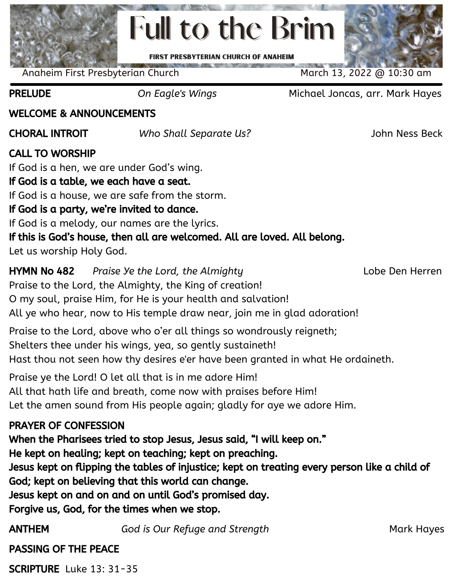# **Full to the Brim FIRST PRESBYTERIAN CHURCH OF ANAHEIM**

Anaheim First Presbyterian Church March 13, 2022 @ 10:30 am

PRELUDE *On Eagle's Wings* Michael Joncas, arr. Mark Hayes

#### WELCOME & ANNOUNCEMENTS

CHORAL INTROIT *Who Shall Separate Us?* John Ness Beck

# CALL TO WORSHIP

If God is a hen, we are under God's wing. If God is a table, we each have a seat. If God is a house, we are safe from the storm. If God is a party, we're invited to dance. If God is a melody, our names are the lyrics. If this is God's house, then all are welcomed. All are loved. All belong. Let us worship Holy God.

HYMN No 482 *Praise Ye the Lord, the Almighty* Lobe Den Herren Praise to the Lord, the Almighty, the King of creation! O my soul, praise Him, for He is your health and salvation! All ye who hear, now to His temple draw near, join me in glad adoration!

Praise to the Lord, above who o'er all things so wondrously reigneth; Shelters thee under his wings, yea, so gently sustaineth! Hast thou not seen how thy desires e'er have been granted in what He ordaineth.

Praise ye the Lord! O let all that is in me adore Him! All that hath life and breath, come now with praises before Him! Let the amen sound from His people again; gladly for aye we adore Him.

### PRAYER OF CONFESSION

When the Pharisees tried to stop Jesus, Jesus said, "I will keep on."

He kept on healing; kept on teaching; kept on preaching.

Jesus kept on flipping the tables of injustice; kept on treating every person like a child of God; kept on believing that this world can change.

Jesus kept on and on and on until God's promised day.

Forgive us, God, for the times when we stop.

ANTHEM *God is Our Refuge and Strength* Mark Hayes

PASSING OF THE PEACE

SCRIPTURE Luke 13: 31-35